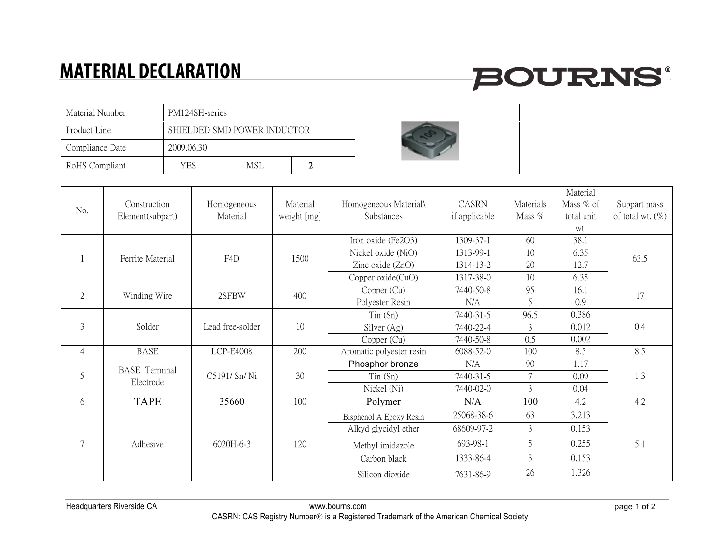## **MATERIAL DECLARATION**

## **BOURNS®**

| Material Number | PM124SH-series              |     |  |  |  |  |
|-----------------|-----------------------------|-----|--|--|--|--|
| Product Line    | SHIELDED SMD POWER INDUCTOR |     |  |  |  |  |
| Compliance Date | 2009.06.30                  |     |  |  |  |  |
| RoHS Compliant  | YES                         | MSI |  |  |  |  |



|                                |                                   |                  |             |                          |               |                | Material    |                     |
|--------------------------------|-----------------------------------|------------------|-------------|--------------------------|---------------|----------------|-------------|---------------------|
| No.                            | Construction                      | Homogeneous      | Material    | Homogeneous Material\    | CASRN         | Materials      | Mass $%$ of | Subpart mass        |
|                                | Element(subpart)                  | Material         | weight [mg] | Substances               | if applicable | Mass %         | total unit  | of total wt. $(\%)$ |
|                                |                                   |                  |             |                          |               |                | wt.         |                     |
|                                | Ferrite Material                  | F4D              | 1500        | Iron oxide (Fe2O3)       | 1309-37-1     | 60             | 38.1        | 63.5                |
|                                |                                   |                  |             | Nickel oxide (NiO)       | 1313-99-1     | 10             | 6.35        |                     |
|                                |                                   |                  |             | Zinc oxide (ZnO)         | 1314-13-2     | 20             | 12.7        |                     |
|                                |                                   |                  |             | Copper $oxide(CuO)$      | 1317-38-0     | 10             | 6.35        |                     |
| $\overline{2}$<br>Winding Wire |                                   | 2SFBW            | 400         | Copper (Cu)              | 7440-50-8     | 95             | 16.1        | 17                  |
|                                |                                   |                  |             | Polyester Resin          | N/A           | 5              | 0.9         |                     |
| 3                              |                                   |                  | 10          | $T$ in $(Sn)$            | 7440-31-5     | 96.5           | 0.386       | 0.4                 |
|                                | Solder                            | Lead free-solder |             | Silver (Ag)              | 7440-22-4     | 3              | 0.012       |                     |
|                                |                                   |                  |             | Copper (Cu)              | 7440-50-8     | 0.5            | 0.002       |                     |
| $\overline{4}$                 | <b>BASE</b>                       | <b>LCP-E4008</b> | 200         | Aromatic polyester resin | 6088-52-0     | 100            | 8.5         | 8.5                 |
| 5                              | <b>BASE</b> Terminal<br>Electrode | C5191/ Sn/ Ni    | 30          | Phosphor bronze          | N/A           | 90             | 1.17        | 1.3                 |
|                                |                                   |                  |             | $T$ in $(Sn)$            | 7440-31-5     | 7              | 0.09        |                     |
|                                |                                   |                  |             | Nickel (Ni)              | 7440-02-0     | $\overline{3}$ | 0.04        |                     |
| 6                              | <b>TAPE</b>                       | 35660            | 100         | Polymer                  | N/A           | 100            | 4.2         | 4.2                 |
| $\tau$                         | Adhesive                          | $6020H - 6 - 3$  | 120         | Bisphenol A Epoxy Resin  | 25068-38-6    | 63             | 3.213       | 5.1                 |
|                                |                                   |                  |             | Alkyd glycidyl ether     | 68609-97-2    | 3              | 0.153       |                     |
|                                |                                   |                  |             | Methyl imidazole         | 693-98-1      | 5              | 0.255       |                     |
|                                |                                   |                  |             | Carbon black             | 1333-86-4     | $\overline{3}$ | 0.153       |                     |
|                                |                                   |                  |             | Silicon dioxide          | 7631-86-9     | 26             | 1.326       |                     |